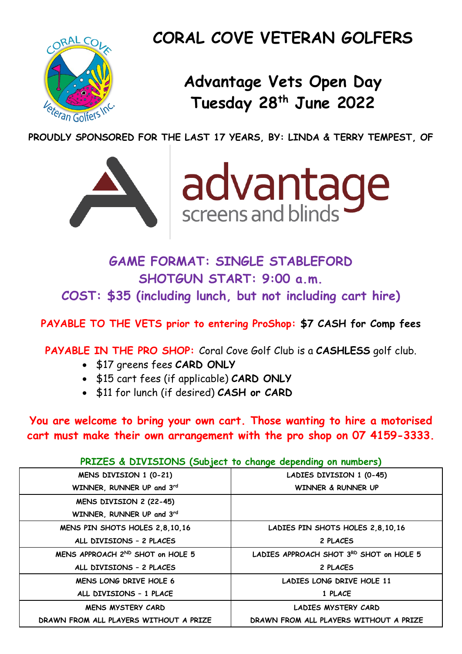

# **CORAL COVE VETERAN GOLFERS**

# **Advantage Vets Open Day Tuesday 28 th June 2022**

**PROUDLY SPONSORED FOR THE LAST 17 YEARS, BY: LINDA & TERRY TEMPEST, OF**





**GAME FORMAT: SINGLE STABLEFORD SHOTGUN START: 9:00 a.m. COST: \$35 (including lunch, but not including cart hire)**

**PAYABLE TO THE VETS prior to entering ProShop: \$7 CASH for Comp fees**

**PAYABLE IN THE PRO SHOP:** Coral Cove Golf Club is a **CASHLESS** golf club.

- \$17 greens fees **CARD ONLY**
- \$15 cart fees (if applicable) **CARD ONLY**
- \$11 for lunch (if desired) **CASH or CARD**

**You are welcome to bring your own cart. Those wanting to hire a motorised cart must make their own arrangement with the pro shop on 07 4159-3333.** 

#### **PRIZES & DIVISIONS (Subject to change depending on numbers)**

| MENS DIVISION 1 (0-21)                 | LADIES DIVISION 1 (0-45)                |
|----------------------------------------|-----------------------------------------|
| WINNER, RUNNER UP and 3rd              | WINNER & RUNNER UP                      |
| MENS DIVISION 2 (22-45)                |                                         |
| WINNER, RUNNER UP and 3rd              |                                         |
| MENS PIN SHOTS HOLES 2,8,10,16         | LADIES PIN SHOTS HOLES 2,8,10,16        |
| ALL DIVISIONS - 2 PLACES               | 2 PLACES                                |
| MENS APPROACH 2ND SHOT on HOLE 5       | LADIES APPROACH SHOT 3RD SHOT on HOLE 5 |
| ALL DIVISIONS - 2 PLACES               | 2 PLACES                                |
| MENS LONG DRIVE HOLE 6                 | LADIES LONG DRIVE HOLE 11               |
| ALL DIVISIONS - 1 PLACE                | 1 PLACE                                 |
| <b>MENS MYSTERY CARD</b>               | LADIES MYSTERY CARD                     |
| DRAWN FROM ALL PLAYERS WITHOUT A PRIZE | DRAWN FROM ALL PLAYERS WITHOUT A PRIZE  |